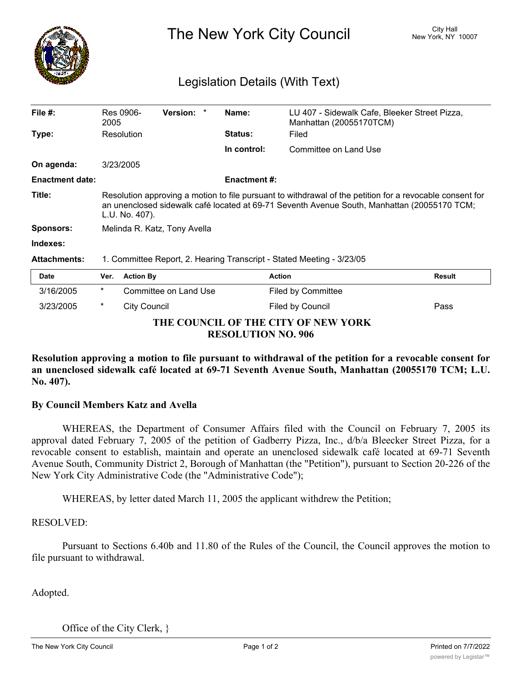

The New York City Council New York, NY 10007

## Legislation Details (With Text)

| File $#$ :             | Res 0906-<br>2005                                                                                                                                                                                                         | <b>Version:</b>       | Name:<br>*     |                     | LU 407 - Sidewalk Cafe, Bleeker Street Pizza,<br>Manhattan (20055170TCM) |               |
|------------------------|---------------------------------------------------------------------------------------------------------------------------------------------------------------------------------------------------------------------------|-----------------------|----------------|---------------------|--------------------------------------------------------------------------|---------------|
| Type:                  |                                                                                                                                                                                                                           | Resolution            | <b>Status:</b> |                     | Filed                                                                    |               |
|                        |                                                                                                                                                                                                                           |                       | In control:    |                     | Committee on Land Use                                                    |               |
| On agenda:             | 3/23/2005                                                                                                                                                                                                                 |                       |                |                     |                                                                          |               |
| <b>Enactment date:</b> |                                                                                                                                                                                                                           |                       |                | <b>Enactment #:</b> |                                                                          |               |
| Title:                 | Resolution approving a motion to file pursuant to withdrawal of the petition for a revocable consent for<br>an unenclosed sidewalk café located at 69-71 Seventh Avenue South, Manhattan (20055170 TCM;<br>L.U. No. 407). |                       |                |                     |                                                                          |               |
| <b>Sponsors:</b>       | Melinda R. Katz, Tony Avella                                                                                                                                                                                              |                       |                |                     |                                                                          |               |
| Indexes:               |                                                                                                                                                                                                                           |                       |                |                     |                                                                          |               |
| <b>Attachments:</b>    | 1. Committee Report, 2. Hearing Transcript - Stated Meeting - 3/23/05                                                                                                                                                     |                       |                |                     |                                                                          |               |
| <b>Date</b>            | Ver.                                                                                                                                                                                                                      | <b>Action By</b>      |                | <b>Action</b>       |                                                                          | <b>Result</b> |
| 3/16/2005              | $^\star$                                                                                                                                                                                                                  | Committee on Land Use |                |                     | <b>Filed by Committee</b>                                                |               |
| 3/23/2005              | $^\ast$                                                                                                                                                                                                                   | <b>City Council</b>   |                |                     | Filed by Council                                                         | Pass          |

## **THE COUNCIL OF THE CITY OF NEW YORK RESOLUTION NO. 906**

**Resolution approving a motion to file pursuant to withdrawal of the petition for a revocable consent for an unenclosed sidewalk café located at 69-71 Seventh Avenue South, Manhattan (20055170 TCM; L.U. No. 407).**

## **By Council Members Katz and Avella**

WHEREAS, the Department of Consumer Affairs filed with the Council on February 7, 2005 its approval dated February 7, 2005 of the petition of Gadberry Pizza, Inc., d/b/a Bleecker Street Pizza, for a revocable consent to establish, maintain and operate an unenclosed sidewalk café located at 69-71 Seventh Avenue South, Community District 2, Borough of Manhattan (the "Petition"), pursuant to Section 20-226 of the New York City Administrative Code (the "Administrative Code");

WHEREAS, by letter dated March 11, 2005 the applicant withdrew the Petition;

## RESOLVED:

Pursuant to Sections 6.40b and 11.80 of the Rules of the Council, the Council approves the motion to file pursuant to withdrawal.

Adopted.

Office of the City Clerk, }